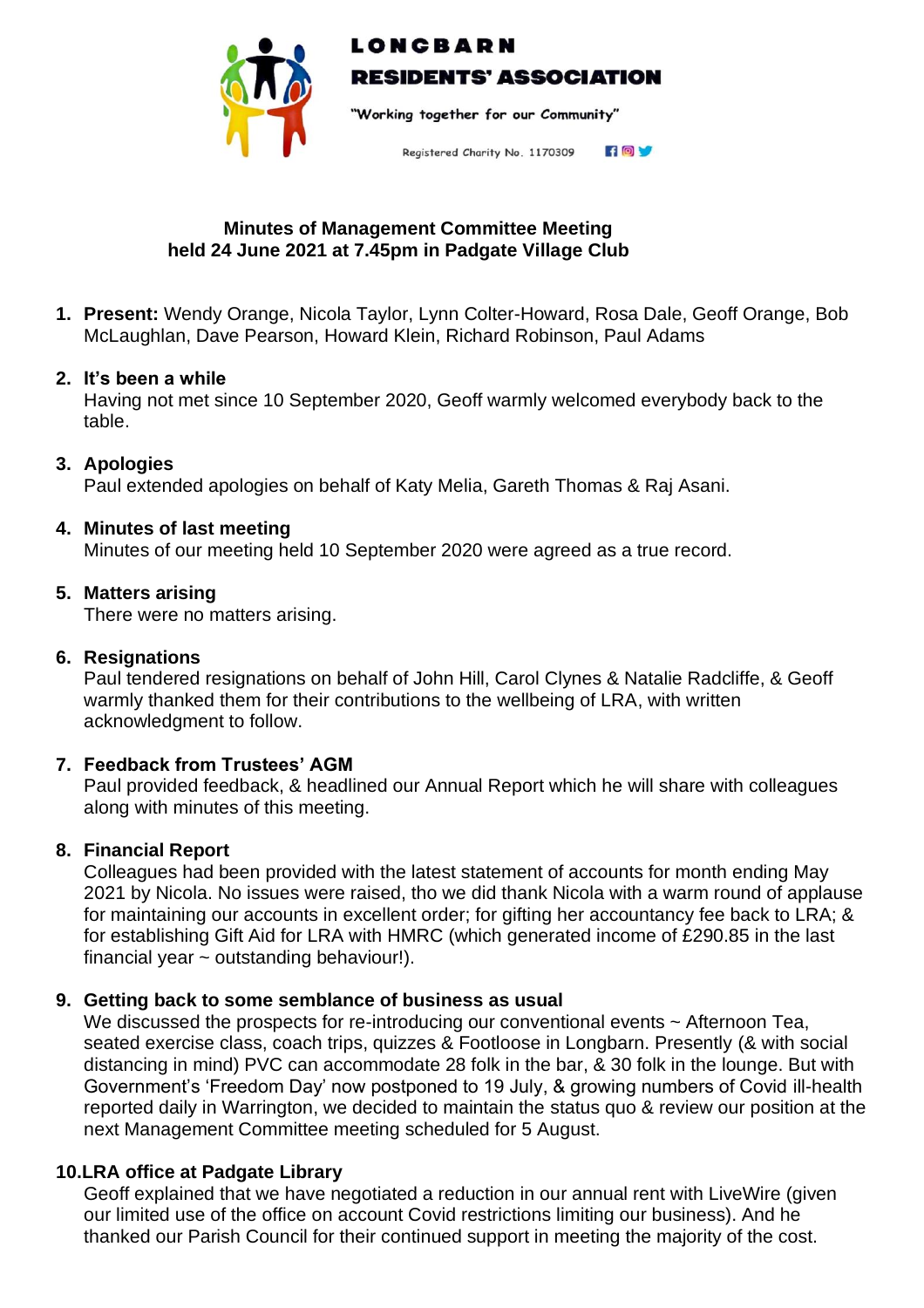

# LONCBARN **RESIDENTS' ASSOCIATION**

"Working together for our Community"

FOV Registered Charity No. 1170309

### **Minutes of Management Committee Meeting held 24 June 2021 at 7.45pm in Padgate Village Club**

**1. Present:** Wendy Orange, Nicola Taylor, Lynn Colter-Howard, Rosa Dale, Geoff Orange, Bob McLaughlan, Dave Pearson, Howard Klein, Richard Robinson, Paul Adams

#### **2. It's been a while**

Having not met since 10 September 2020, Geoff warmly welcomed everybody back to the table.

## **3. Apologies**

Paul extended apologies on behalf of Katy Melia, Gareth Thomas & Raj Asani.

#### **4. Minutes of last meeting**

Minutes of our meeting held 10 September 2020 were agreed as a true record.

#### **5. Matters arising**

There were no matters arising.

### **6. Resignations**

Paul tendered resignations on behalf of John Hill, Carol Clynes & Natalie Radcliffe, & Geoff warmly thanked them for their contributions to the wellbeing of LRA, with written acknowledgment to follow.

## **7. Feedback from Trustees' AGM**

Paul provided feedback, & headlined our Annual Report which he will share with colleagues along with minutes of this meeting.

## **8. Financial Report**

Colleagues had been provided with the latest statement of accounts for month ending May 2021 by Nicola. No issues were raised, tho we did thank Nicola with a warm round of applause for maintaining our accounts in excellent order; for gifting her accountancy fee back to LRA; & for establishing Gift Aid for LRA with HMRC (which generated income of £290.85 in the last financial year ~ outstanding behaviour!).

## **9. Getting back to some semblance of business as usual**

We discussed the prospects for re-introducing our conventional events ~ Afternoon Tea, seated exercise class, coach trips, quizzes & Footloose in Longbarn. Presently (& with social distancing in mind) PVC can accommodate 28 folk in the bar, & 30 folk in the lounge. But with Government's 'Freedom Day' now postponed to 19 July, & growing numbers of Covid ill-health reported daily in Warrington, we decided to maintain the status quo & review our position at the next Management Committee meeting scheduled for 5 August.

## **10.LRA office at Padgate Library**

Geoff explained that we have negotiated a reduction in our annual rent with LiveWire (given our limited use of the office on account Covid restrictions limiting our business). And he thanked our Parish Council for their continued support in meeting the majority of the cost.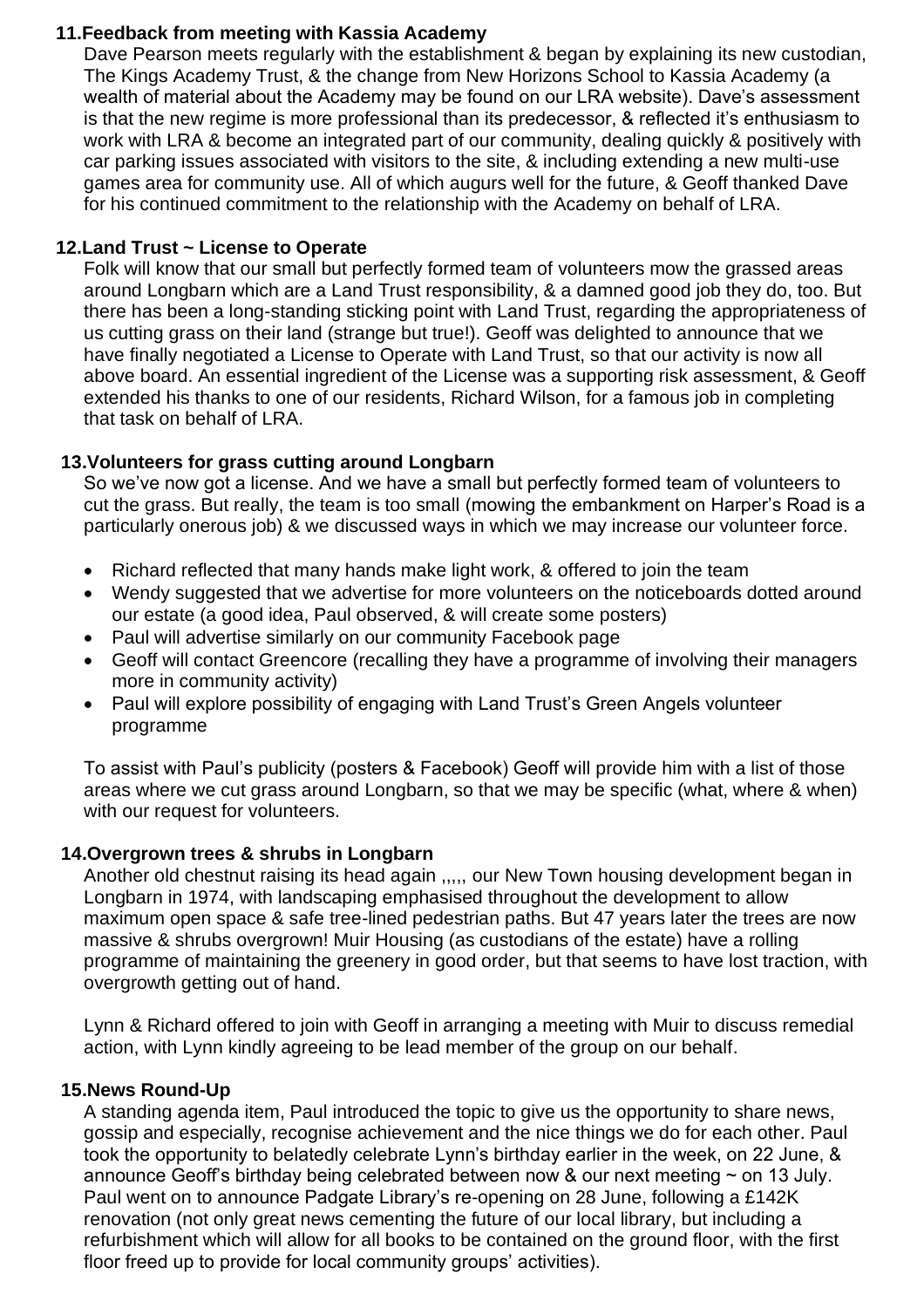### **11.Feedback from meeting with Kassia Academy**

Dave Pearson meets regularly with the establishment & began by explaining its new custodian, The Kings Academy Trust, & the change from New Horizons School to Kassia Academy (a wealth of material about the Academy may be found on our LRA website). Dave's assessment is that the new regime is more professional than its predecessor, & reflected it's enthusiasm to work with LRA & become an integrated part of our community, dealing quickly & positively with car parking issues associated with visitors to the site, & including extending a new multi-use games area for community use. All of which augurs well for the future, & Geoff thanked Dave for his continued commitment to the relationship with the Academy on behalf of LRA.

#### **12.Land Trust ~ License to Operate**

Folk will know that our small but perfectly formed team of volunteers mow the grassed areas around Longbarn which are a Land Trust responsibility, & a damned good job they do, too. But there has been a long-standing sticking point with Land Trust, regarding the appropriateness of us cutting grass on their land (strange but true!). Geoff was delighted to announce that we have finally negotiated a License to Operate with Land Trust, so that our activity is now all above board. An essential ingredient of the License was a supporting risk assessment, & Geoff extended his thanks to one of our residents, Richard Wilson, for a famous job in completing that task on behalf of LRA.

#### **13.Volunteers for grass cutting around Longbarn**

So we've now got a license. And we have a small but perfectly formed team of volunteers to cut the grass. But really, the team is too small (mowing the embankment on Harper's Road is a particularly onerous job) & we discussed ways in which we may increase our volunteer force.

- Richard reflected that many hands make light work, & offered to join the team
- Wendy suggested that we advertise for more volunteers on the noticeboards dotted around our estate (a good idea, Paul observed, & will create some posters)
- Paul will advertise similarly on our community Facebook page
- Geoff will contact Greencore (recalling they have a programme of involving their managers more in community activity)
- Paul will explore possibility of engaging with Land Trust's Green Angels volunteer programme

To assist with Paul's publicity (posters & Facebook) Geoff will provide him with a list of those areas where we cut grass around Longbarn, so that we may be specific (what, where & when) with our request for volunteers.

## **14.Overgrown trees & shrubs in Longbarn**

Another old chestnut raising its head again ...., our New Town housing development began in Longbarn in 1974, with landscaping emphasised throughout the development to allow maximum open space & safe tree-lined pedestrian paths. But 47 years later the trees are now massive & shrubs overgrown! Muir Housing (as custodians of the estate) have a rolling programme of maintaining the greenery in good order, but that seems to have lost traction, with overgrowth getting out of hand.

Lynn & Richard offered to join with Geoff in arranging a meeting with Muir to discuss remedial action, with Lynn kindly agreeing to be lead member of the group on our behalf.

#### **15.News Round-Up**

A standing agenda item, Paul introduced the topic to give us the opportunity to share news, gossip and especially, recognise achievement and the nice things we do for each other. Paul took the opportunity to belatedly celebrate Lynn's birthday earlier in the week, on 22 June, & announce Geoff's birthday being celebrated between now & our next meeting ~ on 13 July. Paul went on to announce Padgate Library's re-opening on 28 June, following a £142K renovation (not only great news cementing the future of our local library, but including a refurbishment which will allow for all books to be contained on the ground floor, with the first floor freed up to provide for local community groups' activities).